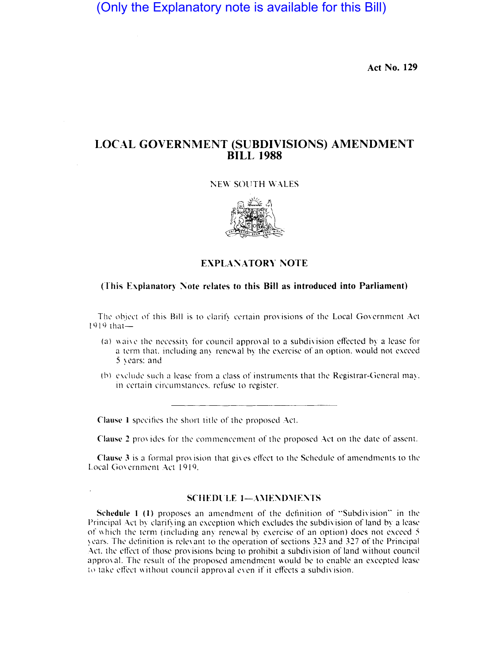(Only the Explanatory note is available for this Bill)

Act No. 129

# LOCAL GOVERNMENT (SUBDIVISIONS) AMENDMENT **BILL 1988**

#### ;\EW SOUTH WALES



## EXPLANATORY NOTE

#### (This Explanatory Note relates to this Bill as introduced into Parliament)

The object of this Bill is to clarify certain provisions of the Local Government Act  $1919$  that-

- (a) waive the necessity for council approval to a subdivision effected by a lease for a term that, including any renewal by the exercise of an option, would not exceed 5 years: and
- (b) exclude such a lease from a class of instruments that the Registrar-General may. in certain circumstances, refuse to register.

Clause 1 specifies the short title of the proposed Act.

Clause 2 provides for the commencement of the proposed Act on the date of assent.

Clause 3 is a formal provision that gives effect to the Schedule of amendments to the Local Government Act 1919.

## SCHEDULE 1-AMENDMENTS

Schedule  $1$  (1) proposes an amendment of the definition of "Subdivision" in the Principal Act by clarifying an exception which excludes the subdivision of land by a lease of which the term (including any renewal by exercise of an option) does not exceed  $5$ ~l'ar~. Thl' definition is rele\ant to the operation of sections 323 and 327 of the Principal Act. the effect of those provisions being to prohibit a subdivision of land without council approval. The result of the proposed amendment would be to enable an excepted lease 10 take effect without council approval even if it effects a subdivision.